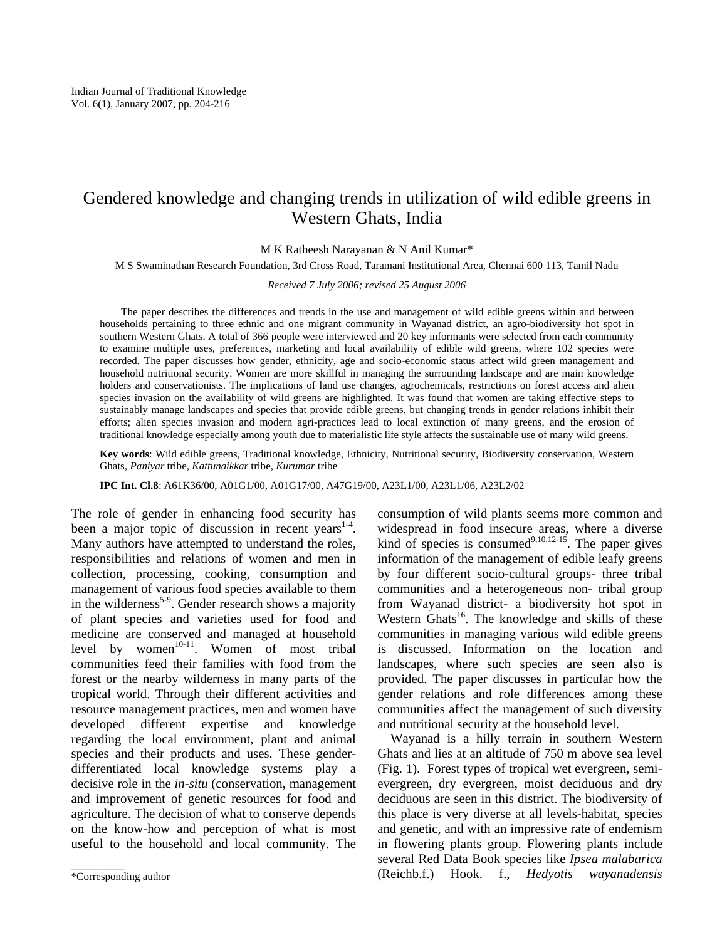# Gendered knowledge and changing trends in utilization of wild edible greens in Western Ghats, India

M K Ratheesh Narayanan & N Anil Kumar\*

M S Swaminathan Research Foundation, 3rd Cross Road, Taramani Institutional Area, Chennai 600 113, Tamil Nadu

*Received 7 July 2006; revised 25 August 2006* 

The paper describes the differences and trends in the use and management of wild edible greens within and between households pertaining to three ethnic and one migrant community in Wayanad district, an agro-biodiversity hot spot in southern Western Ghats. A total of 366 people were interviewed and 20 key informants were selected from each community to examine multiple uses, preferences, marketing and local availability of edible wild greens, where 102 species were recorded. The paper discusses how gender, ethnicity, age and socio-economic status affect wild green management and household nutritional security. Women are more skillful in managing the surrounding landscape and are main knowledge holders and conservationists. The implications of land use changes, agrochemicals, restrictions on forest access and alien species invasion on the availability of wild greens are highlighted. It was found that women are taking effective steps to sustainably manage landscapes and species that provide edible greens, but changing trends in gender relations inhibit their efforts; alien species invasion and modern agri-practices lead to local extinction of many greens, and the erosion of traditional knowledge especially among youth due to materialistic life style affects the sustainable use of many wild greens.

**Key words**: Wild edible greens, Traditional knowledge, Ethnicity, Nutritional security, Biodiversity conservation, Western Ghats, *Paniyar* tribe*, Kattunaikkar* tribe, *Kurumar* tribe

**IPC Int. Cl.8**: A61K36/00, A01G1/00, A01G17/00, A47G19/00, A23L1/00, A23L1/06, A23L2/02

The role of gender in enhancing food security has been a major topic of discussion in recent years $1-4$ . Many authors have attempted to understand the roles, responsibilities and relations of women and men in collection, processing, cooking, consumption and management of various food species available to them in the wilderness<sup>5-9</sup>. Gender research shows a majority of plant species and varieties used for food and medicine are conserved and managed at household level by women<sup>10-11</sup>. Women of most tribal communities feed their families with food from the forest or the nearby wilderness in many parts of the tropical world. Through their different activities and resource management practices, men and women have developed different expertise and knowledge regarding the local environment, plant and animal species and their products and uses. These genderdifferentiated local knowledge systems play a decisive role in the *in-situ* (conservation, management and improvement of genetic resources for food and agriculture. The decision of what to conserve depends on the know-how and perception of what is most useful to the household and local community. The

consumption of wild plants seems more common and widespread in food insecure areas, where a diverse kind of species is consumed $9,10,12-15$ . The paper gives information of the management of edible leafy greens by four different socio-cultural groups- three tribal communities and a heterogeneous non- tribal group from Wayanad district- a biodiversity hot spot in Western Ghats<sup>16</sup>. The knowledge and skills of these communities in managing various wild edible greens is discussed. Information on the location and landscapes, where such species are seen also is provided. The paper discusses in particular how the gender relations and role differences among these communities affect the management of such diversity and nutritional security at the household level.

 Wayanad is a hilly terrain in southern Western Ghats and lies at an altitude of 750 m above sea level (Fig. 1). Forest types of tropical wet evergreen, semievergreen, dry evergreen, moist deciduous and dry deciduous are seen in this district. The biodiversity of this place is very diverse at all levels-habitat, species and genetic, and with an impressive rate of endemism in flowering plants group. Flowering plants include several Red Data Book species like *Ipsea malabarica* (Reichb.f.) Hook. f.*, Hedyotis wayanadensis* \_\_\_\_\_\_\_\_\_\_

<sup>\*</sup>Corresponding author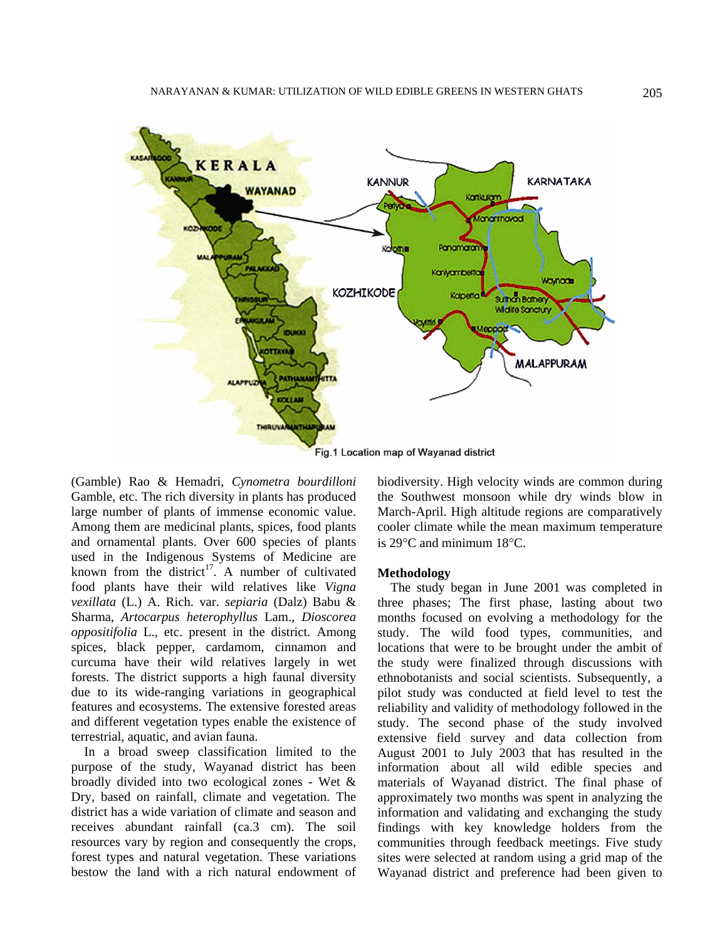

(Gamble) Rao & Hemadri*, Cynometra bourdilloni* Gamble, etc. The rich diversity in plants has produced large number of plants of immense economic value. Among them are medicinal plants, spices, food plants and ornamental plants. Over 600 species of plants used in the Indigenous Systems of Medicine are known from the district<sup>17</sup>. A number of cultivated food plants have their wild relatives like *Vigna vexillata* (L.) A. Rich. var. *sepiaria* (Dalz) Babu & Sharma*, Artocarpus heterophyllus* Lam.*, Dioscorea oppositifolia* L.*,* etc. present in the district*.* Among spices, black pepper, cardamom, cinnamon and curcuma have their wild relatives largely in wet forests. The district supports a high faunal diversity due to its wide-ranging variations in geographical features and ecosystems. The extensive forested areas and different vegetation types enable the existence of terrestrial, aquatic, and avian fauna.

 In a broad sweep classification limited to the purpose of the study, Wayanad district has been broadly divided into two ecological zones - Wet & Dry, based on rainfall, climate and vegetation. The district has a wide variation of climate and season and receives abundant rainfall (ca.3 cm). The soil resources vary by region and consequently the crops, forest types and natural vegetation. These variations bestow the land with a rich natural endowment of

biodiversity. High velocity winds are common during the Southwest monsoon while dry winds blow in March-April. High altitude regions are comparatively cooler climate while the mean maximum temperature is 29°C and minimum 18°C.

#### **Methodology**

 The study began in June 2001 was completed in three phases; The first phase, lasting about two months focused on evolving a methodology for the study. The wild food types, communities, and locations that were to be brought under the ambit of the study were finalized through discussions with ethnobotanists and social scientists. Subsequently, a pilot study was conducted at field level to test the reliability and validity of methodology followed in the study. The second phase of the study involved extensive field survey and data collection from August 2001 to July 2003 that has resulted in the information about all wild edible species and materials of Wayanad district. The final phase of approximately two months was spent in analyzing the information and validating and exchanging the study findings with key knowledge holders from the communities through feedback meetings. Five study sites were selected at random using a grid map of the Wayanad district and preference had been given to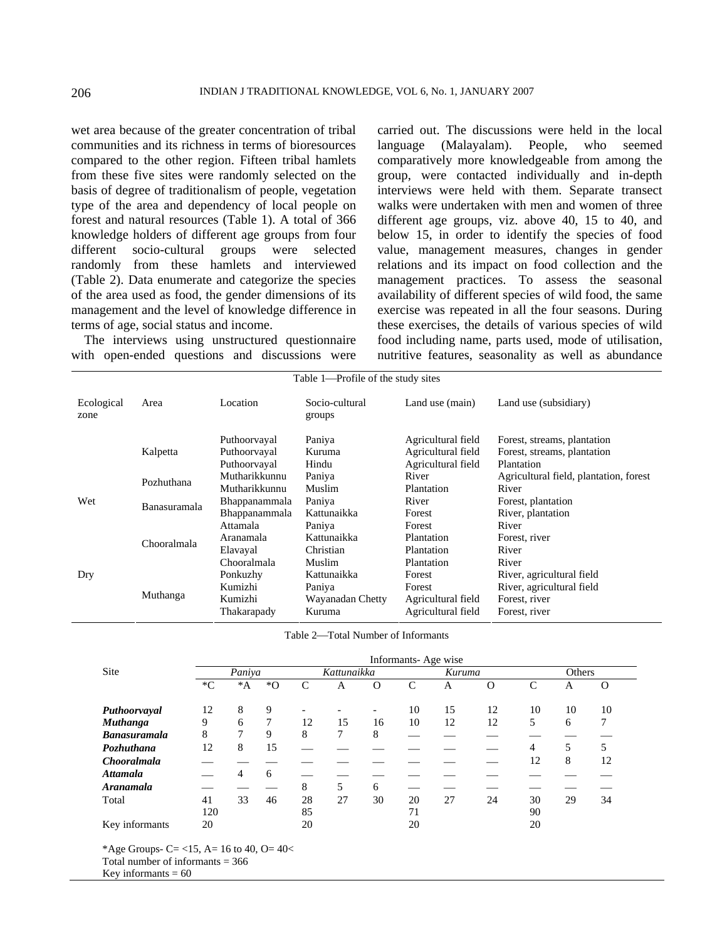wet area because of the greater concentration of tribal communities and its richness in terms of bioresources compared to the other region. Fifteen tribal hamlets from these five sites were randomly selected on the basis of degree of traditionalism of people, vegetation type of the area and dependency of local people on forest and natural resources (Table 1). A total of 366 knowledge holders of different age groups from four different socio-cultural groups were selected randomly from these hamlets and interviewed (Table 2). Data enumerate and categorize the species of the area used as food, the gender dimensions of its management and the level of knowledge difference in terms of age, social status and income.

 The interviews using unstructured questionnaire with open-ended questions and discussions were carried out. The discussions were held in the local language (Malayalam). People, who seemed comparatively more knowledgeable from among the group, were contacted individually and in-depth interviews were held with them. Separate transect walks were undertaken with men and women of three different age groups, viz. above 40, 15 to 40, and below 15, in order to identify the species of food value, management measures, changes in gender relations and its impact on food collection and the management practices. To assess the seasonal availability of different species of wild food, the same exercise was repeated in all the four seasons. During these exercises, the details of various species of wild food including name, parts used, mode of utilisation, nutritive features, seasonality as well as abundance

| Table 1—Profile of the study sites |              |                                                  |                                                     |                                                                |                                                                                          |  |  |
|------------------------------------|--------------|--------------------------------------------------|-----------------------------------------------------|----------------------------------------------------------------|------------------------------------------------------------------------------------------|--|--|
| Ecological<br>zone                 | Area         | Location                                         | Socio-cultural<br>groups                            | Land use (main)                                                | Land use (subsidiary)                                                                    |  |  |
|                                    | Kalpetta     | Puthoorvayal<br>Puthoorvayal<br>Puthoorvayal     | Paniya<br>Kuruma<br>Hindu                           | Agricultural field<br>Agricultural field<br>Agricultural field | Forest, streams, plantation<br>Forest, streams, plantation<br>Plantation                 |  |  |
|                                    | Pozhuthana   | Mutharikkunnu<br>Mutharikkunnu                   | Paniya<br>Muslim                                    | River<br>Plantation                                            | Agricultural field, plantation, forest<br>River                                          |  |  |
| Wet                                | Banasuramala | Bhappanammala<br>Bhappanammala                   | Paniya<br>Kattunaikka                               | River<br>Forest                                                | Forest, plantation<br>River, plantation                                                  |  |  |
|                                    | Chooralmala  | Attamala<br>Aranamala<br>Elavayal<br>Chooralmala | Paniya<br>Kattunaikka<br>Christian<br>Muslim        | Forest<br>Plantation<br>Plantation<br>Plantation               | River<br>Forest, river<br>River<br>River                                                 |  |  |
| Dry                                | Muthanga     | Ponkuzhy<br>Kumizhi<br>Kumizhi<br>Thakarapady    | Kattunaikka<br>Paniya<br>Wayanadan Chetty<br>Kuruma | Forest<br>Forest<br>Agricultural field<br>Agricultural field   | River, agricultural field<br>River, agricultural field<br>Forest, river<br>Forest, river |  |  |

Table 2-Total Number of Informants

|                     |        |        |       |    |             |                          | Informants-Age wise |        |          |              |        |          |  |
|---------------------|--------|--------|-------|----|-------------|--------------------------|---------------------|--------|----------|--------------|--------|----------|--|
| Site                |        | Paniya |       |    | Kattunaikka |                          |                     | Kuruma |          |              | Others |          |  |
|                     | $C^*C$ | $^*A$  | $^*O$ | C  | А           | $\Omega$                 | $\mathcal{C}$       | Α      | $\Omega$ | $\mathsf{C}$ | А      | $\Omega$ |  |
| Puthoorvayal        | 12     | 8      | 9     |    |             | $\overline{\phantom{a}}$ | 10                  | 15     | 12       | 10           | 10     | 10       |  |
| <b>Muthanga</b>     | 9      | 6      | 7     | 12 | 15          | 16                       | 10                  | 12     | 12       | 5            | 6      | 7        |  |
| <b>Banasuramala</b> | 8      | 7      | 9     | 8  | 7           | 8                        |                     |        |          |              |        |          |  |
| Pozhuthana          | 12     | 8      | 15    |    |             |                          |                     |        |          | 4            | 5      | 5        |  |
| <b>Chooralmala</b>  |        |        |       |    |             |                          |                     |        |          | 12           | 8      | 12       |  |
| <b>Attamala</b>     |        | 4      | 6     |    |             |                          |                     |        |          |              |        |          |  |
| <b>Aranamala</b>    |        |        |       | 8  | 5           | 6                        |                     |        |          |              |        |          |  |
| Total               | 41     | 33     | 46    | 28 | 27          | 30                       | 20                  | 27     | 24       | 30           | 29     | 34       |  |
|                     | 120    |        |       | 85 |             |                          | 71                  |        |          | 90           |        |          |  |
| Key informants      | 20     |        |       | 20 |             |                          | 20                  |        |          | 20           |        |          |  |

\*Age Groups- C= <15, A= 16 to 40, O=  $40<$ 

Total number of informants = 366

Key informants  $= 60$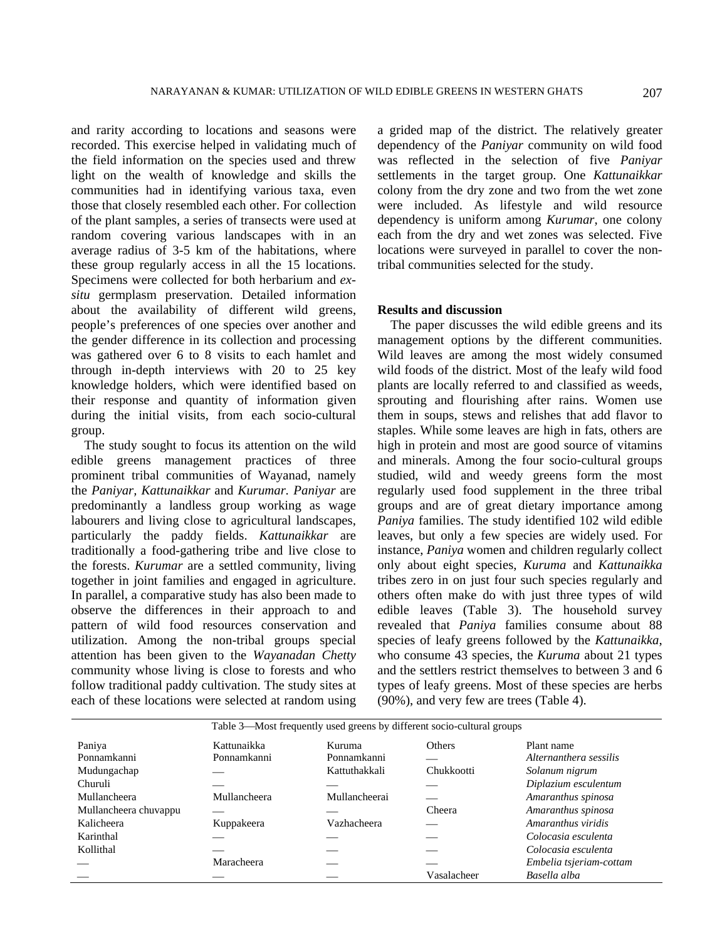and rarity according to locations and seasons were recorded. This exercise helped in validating much of the field information on the species used and threw light on the wealth of knowledge and skills the communities had in identifying various taxa, even those that closely resembled each other. For collection of the plant samples, a series of transects were used at random covering various landscapes with in an average radius of 3-5 km of the habitations, where these group regularly access in all the 15 locations. Specimens were collected for both herbarium and *exsitu* germplasm preservation. Detailed information about the availability of different wild greens, people's preferences of one species over another and the gender difference in its collection and processing was gathered over 6 to 8 visits to each hamlet and through in-depth interviews with 20 to 25 key knowledge holders, which were identified based on their response and quantity of information given during the initial visits, from each socio-cultural group.

 The study sought to focus its attention on the wild edible greens management practices of three prominent tribal communities of Wayanad, namely the *Paniyar, Kattunaikkar* and *Kurumar. Paniyar* are predominantly a landless group working as wage labourers and living close to agricultural landscapes, particularly the paddy fields. *Kattunaikkar* are traditionally a food-gathering tribe and live close to the forests. *Kurumar* are a settled community, living together in joint families and engaged in agriculture. In parallel, a comparative study has also been made to observe the differences in their approach to and pattern of wild food resources conservation and utilization. Among the non-tribal groups special attention has been given to the *Wayanadan Chetty* community whose living is close to forests and who follow traditional paddy cultivation. The study sites at each of these locations were selected at random using a grided map of the district. The relatively greater dependency of the *Paniyar* community on wild food was reflected in the selection of five *Paniyar* settlements in the target group. One *Kattunaikkar* colony from the dry zone and two from the wet zone were included. As lifestyle and wild resource dependency is uniform among *Kurumar*, one colony each from the dry and wet zones was selected. Five locations were surveyed in parallel to cover the nontribal communities selected for the study.

### **Results and discussion**

 The paper discusses the wild edible greens and its management options by the different communities. Wild leaves are among the most widely consumed wild foods of the district. Most of the leafy wild food plants are locally referred to and classified as weeds, sprouting and flourishing after rains. Women use them in soups, stews and relishes that add flavor to staples. While some leaves are high in fats, others are high in protein and most are good source of vitamins and minerals. Among the four socio-cultural groups studied, wild and weedy greens form the most regularly used food supplement in the three tribal groups and are of great dietary importance among *Paniya* families. The study identified 102 wild edible leaves, but only a few species are widely used. For instance, *Paniya* women and children regularly collect only about eight species, *Kuruma* and *Kattunaikka* tribes zero in on just four such species regularly and others often make do with just three types of wild edible leaves (Table 3). The household survey revealed that *Paniya* families consume about 88 species of leafy greens followed by the *Kattunaikka*, who consume 43 species, the *Kuruma* about 21 types and the settlers restrict themselves to between 3 and 6 types of leafy greens. Most of these species are herbs (90%), and very few are trees (Table 4).

|                       | Table 3—Most frequently used greens by different socio-cultural groups |               |             |                         |  |  |  |
|-----------------------|------------------------------------------------------------------------|---------------|-------------|-------------------------|--|--|--|
| Paniya                | Kattunaikka                                                            | Kuruma        | Others      | Plant name              |  |  |  |
| Ponnamkanni           | Ponnamkanni                                                            | Ponnamkanni   |             | Alternanthera sessilis  |  |  |  |
| Mudungachap           |                                                                        | Kattuthakkali | Chukkootti  | Solanum nigrum          |  |  |  |
| Churuli               |                                                                        |               |             | Diplazium esculentum    |  |  |  |
| Mullancheera          | Mullancheera                                                           | Mullancheerai |             | Amaranthus spinosa      |  |  |  |
| Mullancheera chuvappu |                                                                        |               | Cheera      | Amaranthus spinosa      |  |  |  |
| Kalicheera            | Kuppakeera                                                             | Vazhacheera   |             | Amaranthus viridis      |  |  |  |
| Karinthal             |                                                                        |               |             | Colocasia esculenta     |  |  |  |
| Kollithal             |                                                                        |               |             | Colocasia esculenta     |  |  |  |
|                       | Maracheera                                                             |               |             | Embelia tsjeriam-cottam |  |  |  |
|                       |                                                                        |               | Vasalacheer | Basella alba            |  |  |  |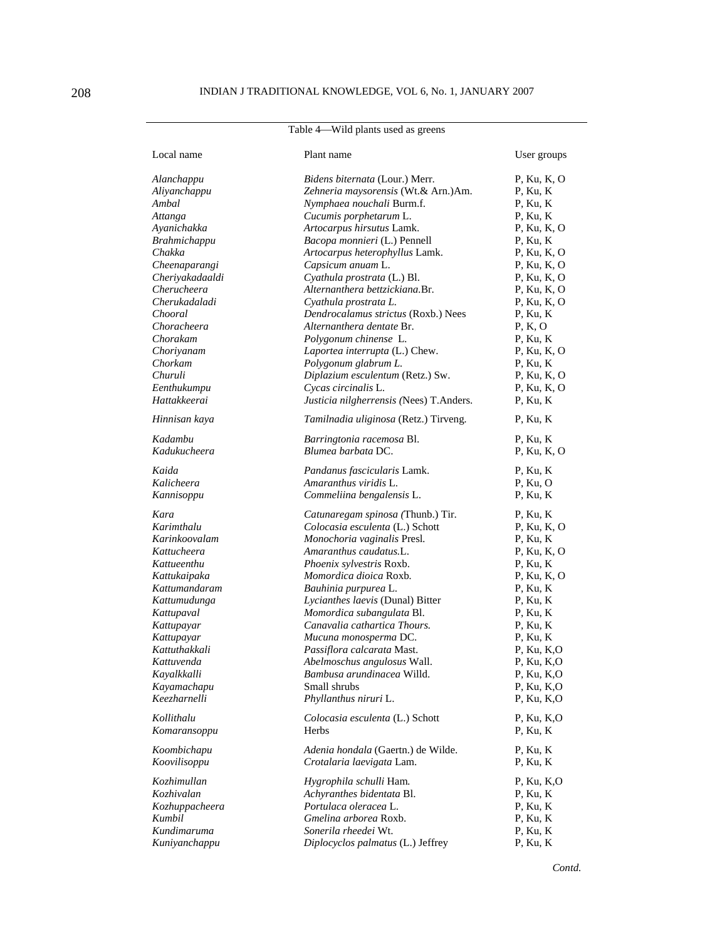| Table 4—Wild plants used as greens |  |  |  |  |
|------------------------------------|--|--|--|--|
|------------------------------------|--|--|--|--|

| Local name                  | Plant name                                                                   | User groups                    |
|-----------------------------|------------------------------------------------------------------------------|--------------------------------|
| Alanchappu<br>Aliyanchappu  | <i>Bidens biternata</i> (Lour.) Merr.<br>Zehneria maysorensis (Wt.& Arn.)Am. | $P$ , Ku, K, O<br>$P$ , Ku, K  |
| Ambal                       | Nymphaea nouchali Burm.f.                                                    | P, Ku, K                       |
| Attanga                     | Cucumis porphetarum L.                                                       | $P$ , Ku, K                    |
| Ayanichakka                 | Artocarpus hirsutus Lamk.                                                    | $P$ , Ku, K, O                 |
| <b>Brahmichappu</b>         | Bacopa monnieri (L.) Pennell                                                 | $P$ , Ku, K                    |
| Chakka                      | Artocarpus heterophyllus Lamk.                                               | $P$ , Ku, K, O                 |
| Cheenaparangi               | Capsicum anuam L.                                                            | $P$ , Ku, K, O                 |
| Cheriyakadaaldi             | Cyathula prostrata (L.) Bl.                                                  | $P$ , Ku, K, O                 |
| Cherucheera                 | Alternanthera bettzickiana.Br.                                               | $P$ , Ku, K, O                 |
| Cherukadaladi               | Cyathula prostrata L.                                                        | $P$ , Ku, K, O                 |
| Chooral                     | Dendrocalamus strictus (Roxb.) Nees                                          | $P$ , Ku, K                    |
| Choracheera                 | Alternanthera dentate Br.                                                    | P, K, O                        |
| Chorakam                    | Polygonum chinense L.                                                        | P, Ku, K                       |
| Choriyanam                  | Laportea interrupta (L.) Chew.                                               | $P$ , Ku, K, O                 |
| Chorkam                     | Polygonum glabrum L.                                                         | $P$ , Ku, K                    |
| Churuli                     | Diplazium esculentum (Retz.) Sw.                                             | $P$ , Ku, K, O                 |
| Eenthukumpu                 | Cycas circinalis L.                                                          | $P$ , Ku, K, O                 |
| Hattakkeerai                | Justicia nilgherrensis (Nees) T.Anders.                                      | $P$ , Ku, K                    |
| Hinnisan kaya               | Tamilnadia uliginosa (Retz.) Tirveng.                                        | $P$ , Ku, K                    |
| Kadambu                     | Barringtonia racemosa Bl.                                                    | $P$ , Ku, K                    |
| Kadukucheera                | Blumea barbata DC.                                                           | $P$ , Ku, K, O                 |
| Kaida                       | Pandanus fascicularis Lamk.                                                  | P, Ku, K                       |
| Kalicheera                  | Amaranthus viridis L.                                                        | $P$ , Ku, O                    |
| Kannisoppu                  | Commeliina bengalensis L.                                                    | P, Ku, K                       |
| Kara                        | Catunaregam spinosa (Thunb.) Tir.                                            | $P$ , Ku, K                    |
| Karimthalu                  | Colocasia esculenta (L.) Schott                                              | $P$ , Ku, K, O                 |
| Karinkoovalam               | Monochoria vaginalis Presl.                                                  | $P$ , Ku, K                    |
| Kattucheera                 | Amaranthus caudatus.L.                                                       | $P$ , Ku, K, O                 |
| Kattueenthu                 | Phoenix sylvestris Roxb.                                                     | $P$ , Ku, K                    |
| Kattukaipaka                | Momordica dioica Roxb.                                                       | $P$ , Ku, K, O                 |
| Kattumandaram               | Bauhinia purpurea L.                                                         | $P$ , Ku, K                    |
| Kattumudunga                | Lycianthes laevis (Dunal) Bitter                                             | $P$ , Ku, K                    |
| Kattupaval                  | Momordica subangulata Bl.                                                    | P, Ku, K                       |
| Kattupayar                  | Canavalia cathartica Thours.                                                 | $P$ , Ku, K                    |
| Kattupayar<br>Kattuthakkali | Mucuna monosperma DC.                                                        | P, Ku, K                       |
| Kattuvenda                  | Passiflora calcarata Mast.<br>Abelmoschus angulosus Wall.                    | $P$ , Ku, K,O<br>$P$ , Ku, K,O |
| Kayalkkalli                 | Bambusa arundinacea Willd.                                                   | P, Ku, K,O                     |
| Kayamachapu                 | Small shrubs                                                                 | P, Ku, K,O                     |
| Keezharnelli                | Phyllanthus niruri L.                                                        | $P$ , Ku, K,O                  |
| Kollithalu                  | Colocasia esculenta (L.) Schott                                              | $P$ , Ku, K,O                  |
| Komaransoppu                | Herbs                                                                        | $P$ , Ku, K                    |
| Koombichapu                 | Adenia hondala (Gaertn.) de Wilde.                                           | $P$ , Ku, K                    |
| Koovilisoppu                | Crotalaria laevigata Lam.                                                    | $P$ , Ku, K                    |
|                             |                                                                              |                                |
| Kozhimullan                 | Hygrophila schulli Ham.                                                      | $P$ , Ku, K,O                  |
| Kozhivalan                  | Achyranthes bidentata Bl.                                                    | P, Ku, K                       |
| Kozhuppacheera              | Portulaca oleracea L.                                                        | P, Ku, K                       |
| Kumbil                      | Gmelina arborea Roxb.                                                        | $P$ , Ku, K                    |
| Kundimaruma                 | Sonerila rheedei Wt.                                                         | P, Ku, K                       |
| Kuniyanchappu               | Diplocyclos palmatus (L.) Jeffrey                                            | P, Ku, K                       |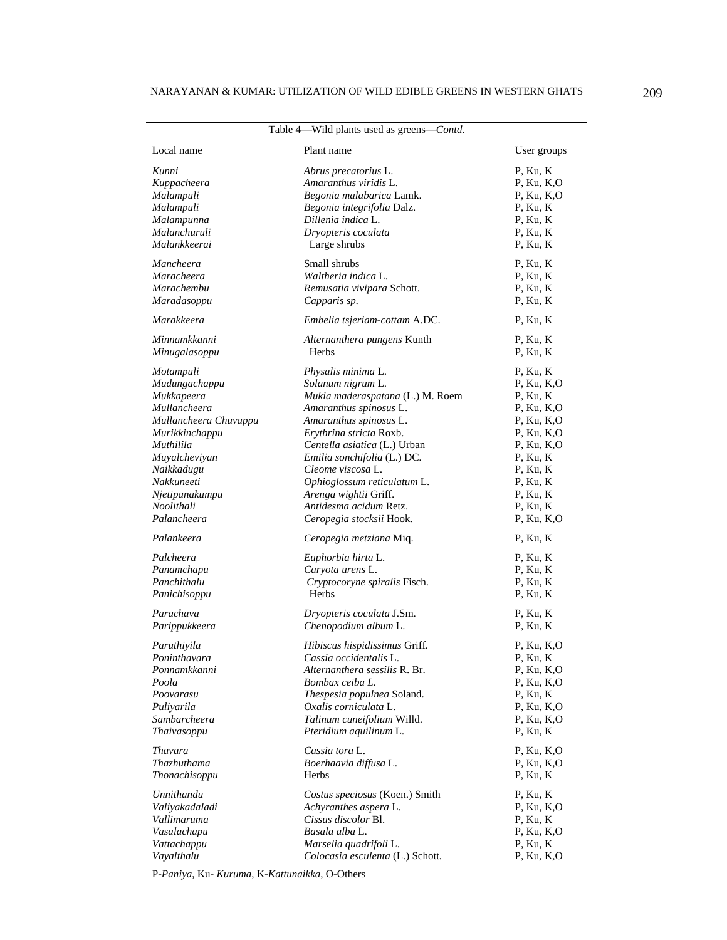| Table 4—Wild plants used as greens— <i>Contd</i> . |                                  |               |  |  |  |  |
|----------------------------------------------------|----------------------------------|---------------|--|--|--|--|
| Local name                                         | Plant name                       | User groups   |  |  |  |  |
| Kunni                                              | Abrus precatorius L.             | P, Ku, K      |  |  |  |  |
| Kuppacheera                                        | Amaranthus viridis L.            | P, Ku, K,O    |  |  |  |  |
| Malampuli                                          | Begonia malabarica Lamk.         | $P$ , Ku, K,O |  |  |  |  |
| Malampuli                                          | Begonia integrifolia Dalz.       | P, Ku, K      |  |  |  |  |
| Malampunna                                         | Dillenia indica L.               | P, Ku, K      |  |  |  |  |
| Malanchuruli                                       | Dryopteris coculata              | $P$ , Ku, K   |  |  |  |  |
| Malankkeerai                                       | Large shrubs                     | P, Ku, K      |  |  |  |  |
| Mancheera                                          | Small shrubs                     | $P$ , Ku, K   |  |  |  |  |
| Maracheera                                         | Waltheria indica L.              | P, Ku, K      |  |  |  |  |
| Marachembu                                         | Remusatia vivipara Schott.       | $P$ , Ku, K   |  |  |  |  |
| Maradasoppu                                        | Capparis sp.                     | P, Ku, K      |  |  |  |  |
| Marakkeera                                         | Embelia tsjeriam-cottam A.DC.    | $P$ , Ku, K   |  |  |  |  |
| Minnamkkanni                                       | Alternanthera pungens Kunth      | $P$ , Ku, K   |  |  |  |  |
| Minugalasoppu                                      | Herbs                            | P, Ku, K      |  |  |  |  |
| Motampuli                                          | Physalis minima L.               | $P$ , Ku, K   |  |  |  |  |
| Mudungachappu                                      | Solanum nigrum L.                | $P$ , Ku, K,O |  |  |  |  |
| Mukkapeera                                         | Mukia maderaspatana (L.) M. Roem | $P$ , Ku, K   |  |  |  |  |
| Mullancheera                                       | Amaranthus spinosus L.           | $P$ , Ku, K,O |  |  |  |  |
| Mullancheera Chuvappu                              | Amaranthus spinosus L.           | $P$ , Ku, K,O |  |  |  |  |
| Murikkinchappu                                     | Erythrina stricta Roxb.          | $P$ , Ku, K,O |  |  |  |  |
| Muthilila                                          | Centella asiatica (L.) Urban     | $P$ , Ku, K,O |  |  |  |  |
| Muyalcheviyan                                      | Emilia sonchifolia (L.) DC.      | P, Ku, K      |  |  |  |  |
| Naikkadugu                                         | Cleome viscosa L.                | $P$ , Ku, K   |  |  |  |  |
| Nakkuneeti                                         | Ophioglossum reticulatum L.      | P, Ku, K      |  |  |  |  |
| Njetipanakumpu                                     | Arenga wightii Griff.            | P, Ku, K      |  |  |  |  |
| Noolithali                                         | Antidesma acidum Retz.           | P, Ku, K      |  |  |  |  |
| Palancheera                                        | Ceropegia stocksii Hook.         | $P$ , Ku, K,O |  |  |  |  |
| Palankeera                                         | Ceropegia metziana Miq.          | $P$ , Ku, K   |  |  |  |  |
| Palcheera                                          | Euphorbia hirta L.               | P, Ku, K      |  |  |  |  |
| Panamchapu                                         | Caryota urens L.                 | $P$ , Ku, K   |  |  |  |  |
| Panchithalu                                        | Cryptocoryne spiralis Fisch.     | P, Ku, K      |  |  |  |  |
| Panichisoppu                                       | Herbs                            | $P$ , Ku, K   |  |  |  |  |
| Parachava                                          | Dryopteris coculata J.Sm.        | $P$ , Ku, K   |  |  |  |  |
| Parippukkeera                                      | Chenopodium album L.             | P, Ku, K      |  |  |  |  |
| Paruthiyila                                        | Hibiscus hispidissimus Griff.    | P, Ku, K,O    |  |  |  |  |
| Poninthavara                                       | Cassia occidentalis L.           | P, Ku, K      |  |  |  |  |
| Ponnamkkanni                                       | Alternanthera sessilis R. Br.    | P, Ku, K,O    |  |  |  |  |
| Poola                                              | Bombax ceiba L.                  | P, Ku, K,O    |  |  |  |  |
| Poovarasu                                          | Thespesia populnea Soland.       | P, Ku, K      |  |  |  |  |
| Puliyarila                                         | Oxalis corniculata L.            | P, Ku, K,O    |  |  |  |  |
| Sambarcheera                                       | Talinum cuneifolium Willd.       | $P$ , Ku, K,O |  |  |  |  |
| Thaivasoppu                                        | Pteridium aquilinum L.           | P, Ku, K      |  |  |  |  |
| Thavara                                            | Cassia tora L.                   | $P$ , Ku, K,O |  |  |  |  |
| Thazhuthama                                        | Boerhaavia diffusa L.            | $P$ , Ku, K,O |  |  |  |  |
| Thonachisoppu                                      | Herbs                            | $P$ , Ku, K   |  |  |  |  |
| Unnithandu                                         | Costus speciosus (Koen.) Smith   | P, Ku, K      |  |  |  |  |
| Valiyakadaladi                                     | Achyranthes aspera L.            | P, Ku, K,O    |  |  |  |  |
| Vallimaruma                                        | Cissus discolor Bl.              | $P$ , Ku, K   |  |  |  |  |
| Vasalachapu                                        | Basala alba L.                   | P, Ku, K,O    |  |  |  |  |
| Vattachappu                                        | Marselia quadrifoli L.           | $P$ , Ku, K   |  |  |  |  |
| Vayalthalu                                         | Colocasia esculenta (L.) Schott. | P, Ku, K,O    |  |  |  |  |

P-*Paniya*, Ku- *Kuruma*, K-*Kattunaikka*, O-Others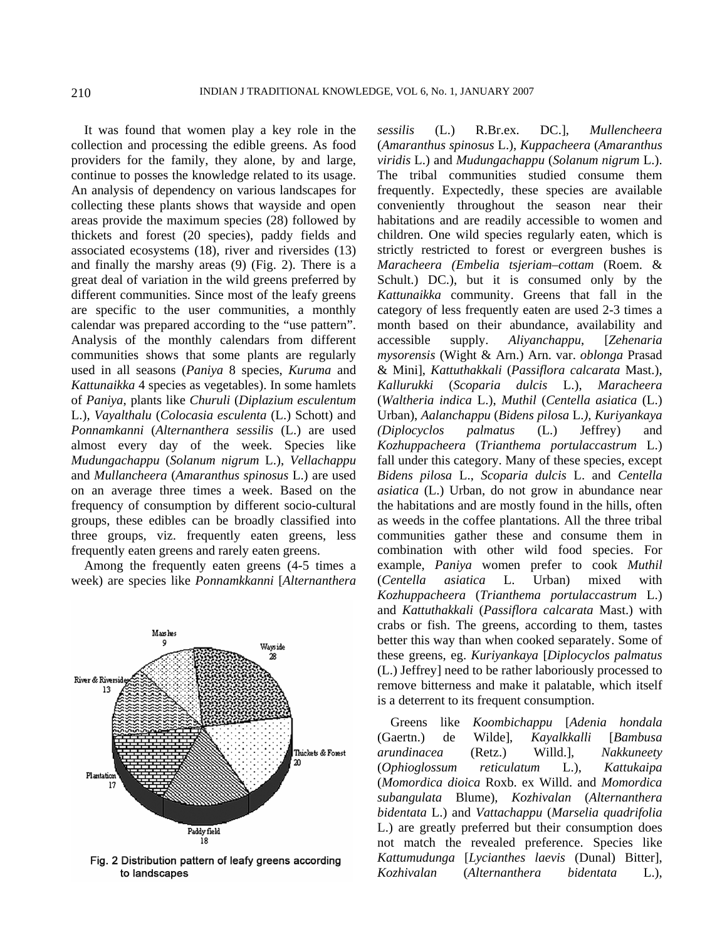It was found that women play a key role in the collection and processing the edible greens. As food providers for the family, they alone, by and large, continue to posses the knowledge related to its usage. An analysis of dependency on various landscapes for collecting these plants shows that wayside and open areas provide the maximum species (28) followed by thickets and forest (20 species), paddy fields and associated ecosystems (18), river and riversides (13) and finally the marshy areas (9) (Fig. 2). There is a great deal of variation in the wild greens preferred by different communities. Since most of the leafy greens are specific to the user communities, a monthly calendar was prepared according to the "use pattern". Analysis of the monthly calendars from different communities shows that some plants are regularly used in all seasons (*Paniya* 8 species, *Kuruma* and *Kattunaikka* 4 species as vegetables). In some hamlets of *Paniya*, plants like *Churuli* (*Diplazium esculentum*  L.), *Vayalthalu* (*Colocasia esculenta* (L.) Schott) and *Ponnamkanni* (*Alternanthera sessilis* (L.) are used almost every day of the week. Species like *Mudungachappu* (*Solanum nigrum* L.), *Vellachappu*  and *Mullancheera* (*Amaranthus spinosus* L.) are used on an average three times a week. Based on the frequency of consumption by different socio-cultural groups, these edibles can be broadly classified into three groups, viz. frequently eaten greens, less frequently eaten greens and rarely eaten greens.

 Among the frequently eaten greens (4-5 times a week) are species like *Ponnamkkanni* [*Alternanthera* 



Fig. 2 Distribution pattern of leafy greens according to landscapes

*sessilis* (L.) R.Br.ex. DC.], *Mullencheera* (*Amaranthus spinosus* L.), *Kuppacheera* (*Amaranthus viridis* L.) and *Mudungachappu* (*Solanum nigrum* L.). The tribal communities studied consume them frequently. Expectedly, these species are available conveniently throughout the season near their habitations and are readily accessible to women and children. One wild species regularly eaten, which is strictly restricted to forest or evergreen bushes is *Maracheera (Embelia tsjeriam–cottam* (Roem. & Schult.) DC.), but it is consumed only by the *Kattunaikka* community. Greens that fall in the category of less frequently eaten are used 2-3 times a month based on their abundance, availability and accessible supply. *Aliyanchappu*, [*Zehenaria mysorensis* (Wight & Arn.) Arn. var. *oblonga* Prasad & Mini], *Kattuthakkali* (*Passiflora calcarata* Mast.), *Kallurukki* (*Scoparia dulcis* L.), *Maracheera* (*Waltheria indica* L.), *Muthil* (*Centella asiatica* (L.) Urban), *Aalanchappu* (*Bidens pilosa* L.*), Kuriyankaya (Diplocyclos palmatus* (L.) Jeffrey) and *Kozhuppacheera* (*Trianthema portulaccastrum* L.) fall under this category. Many of these species, except *Bidens pilosa* L., *Scoparia dulcis* L. and *Centella asiatica* (L.) Urban, do not grow in abundance near the habitations and are mostly found in the hills, often as weeds in the coffee plantations. All the three tribal communities gather these and consume them in combination with other wild food species. For example, *Paniya* women prefer to cook *Muthil* (*Centella asiatica* L. Urban) mixed with *Kozhuppacheera* (*Trianthema portulaccastrum* L.) and *Kattuthakkali* (*Passiflora calcarata* Mast.) with crabs or fish. The greens, according to them, tastes better this way than when cooked separately. Some of these greens, eg. *Kuriyankaya* [*Diplocyclos palmatus*  (L.) Jeffrey] need to be rather laboriously processed to remove bitterness and make it palatable, which itself is a deterrent to its frequent consumption.

 Greens like *Koombichappu* [*Adenia hondala* (Gaertn.) de Wilde], *Kayalkkalli* [*Bambusa arundinacea* (Retz.) Willd.], *Nakkuneety* (*Ophioglossum reticulatum* L.), *Kattukaipa* (*Momordica dioica* Roxb. ex Willd. and *Momordica subangulata* Blume), *Kozhivalan* (*Alternanthera bidentata* L.) and *Vattachappu* (*Marselia quadrifolia* L.) are greatly preferred but their consumption does not match the revealed preference. Species like *Kattumudunga* [*Lycianthes laevis* (Dunal) Bitter], *Kozhivalan* (*Alternanthera bidentata* L.),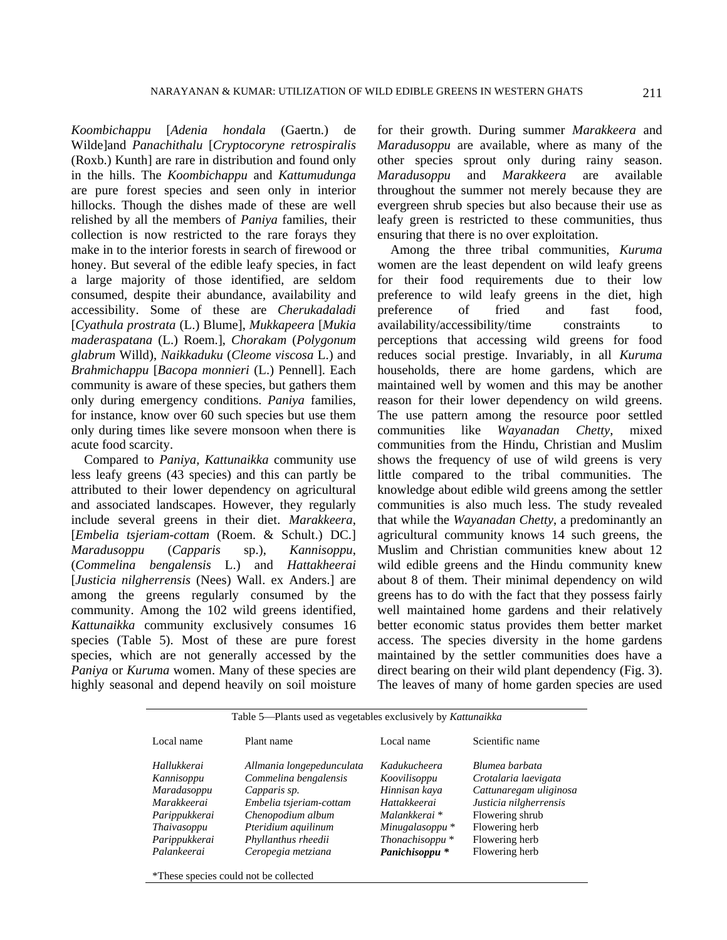*Koombichappu* [*Adenia hondala* (Gaertn.) de Wilde]and *Panachithalu* [*Cryptocoryne retrospiralis* (Roxb.) Kunth] are rare in distribution and found only in the hills. The *Koombichappu* and *Kattumudunga* are pure forest species and seen only in interior hillocks. Though the dishes made of these are well relished by all the members of *Paniya* families, their collection is now restricted to the rare forays they make in to the interior forests in search of firewood or honey. But several of the edible leafy species, in fact a large majority of those identified, are seldom consumed, despite their abundance, availability and accessibility. Some of these are *Cherukadaladi* [*Cyathula prostrata* (L.) Blume], *Mukkapeera* [*Mukia maderaspatana* (L.) Roem.], *Chorakam* (*Polygonum glabrum* Willd), *Naikkaduku* (*Cleome viscosa* L.) and *Brahmichappu* [*Bacopa monnieri* (L.) Pennell]. Each community is aware of these species, but gathers them only during emergency conditions. *Paniya* families, for instance, know over 60 such species but use them only during times like severe monsoon when there is acute food scarcity.

 Compared to *Paniya, Kattunaikka* community use less leafy greens (43 species) and this can partly be attributed to their lower dependency on agricultural and associated landscapes. However, they regularly include several greens in their diet. *Marakkeera*, [*Embelia tsjeriam-cottam* (Roem. & Schult.) DC.] *Maradusoppu* (*Capparis* sp.), *Kannisoppu*, (*Commelina bengalensis* L.) and *Hattakheerai* [*Justicia nilgherrensis* (Nees) Wall. ex Anders.] are among the greens regularly consumed by the community. Among the 102 wild greens identified, *Kattunaikka* community exclusively consumes 16 species (Table 5). Most of these are pure forest species, which are not generally accessed by the *Paniya* or *Kuruma* women. Many of these species are highly seasonal and depend heavily on soil moisture for their growth. During summer *Marakkeera* and *Maradusoppu* are available, where as many of the other species sprout only during rainy season. *Maradusoppu* and *Marakkeera* are available throughout the summer not merely because they are evergreen shrub species but also because their use as leafy green is restricted to these communities, thus ensuring that there is no over exploitation.

 Among the three tribal communities, *Kuruma* women are the least dependent on wild leafy greens for their food requirements due to their low preference to wild leafy greens in the diet, high preference of fried and fast food, availability/accessibility/time constraints to perceptions that accessing wild greens for food reduces social prestige. Invariably, in all *Kuruma* households, there are home gardens, which are maintained well by women and this may be another reason for their lower dependency on wild greens. The use pattern among the resource poor settled communities like *Wayanadan Chetty*, mixed communities from the Hindu, Christian and Muslim shows the frequency of use of wild greens is very little compared to the tribal communities. The knowledge about edible wild greens among the settler communities is also much less. The study revealed that while the *Wayanadan Chetty*, a predominantly an agricultural community knows 14 such greens, the Muslim and Christian communities knew about 12 wild edible greens and the Hindu community knew about 8 of them. Their minimal dependency on wild greens has to do with the fact that they possess fairly well maintained home gardens and their relatively better economic status provides them better market access. The species diversity in the home gardens maintained by the settler communities does have a direct bearing on their wild plant dependency (Fig. 3). The leaves of many of home garden species are used

| Table 5—Plants used as vegetables exclusively by Kattunaikka |                           |                            |                        |  |  |  |  |
|--------------------------------------------------------------|---------------------------|----------------------------|------------------------|--|--|--|--|
| Local name                                                   | Plant name                | Local name                 | Scientific name        |  |  |  |  |
| Hallukkerai                                                  | Allmania longepedunculata | Kadukucheera               | Blumea barbata         |  |  |  |  |
| Kannisoppu                                                   | Commelina bengalensis     | Koovilisoppu               | Crotalaria laevigata   |  |  |  |  |
| Maradasoppu                                                  | Capparis sp.              | Hinnisan kaya              | Cattunaregam uliginosa |  |  |  |  |
| Marakkeerai                                                  | Embelia tsjeriam-cottam   | Hattakkeerai               | Justicia nilgherrensis |  |  |  |  |
| Parippukkerai                                                | Chenopodium album         | Malankkerai <sup>*</sup>   | Flowering shrub        |  |  |  |  |
| Thaivasoppu                                                  | Pteridium aquilinum       | Minugalasoppu <sup>*</sup> | Flowering herb         |  |  |  |  |
| Parippukkerai                                                | Phyllanthus rheedii       | Thonachisoppu <sup>*</sup> | Flowering herb         |  |  |  |  |
| Palankeerai                                                  | Ceropegia metziana        | Panichisoppu <sup>*</sup>  | Flowering herb         |  |  |  |  |
|                                                              |                           |                            |                        |  |  |  |  |

\*These species could not be collected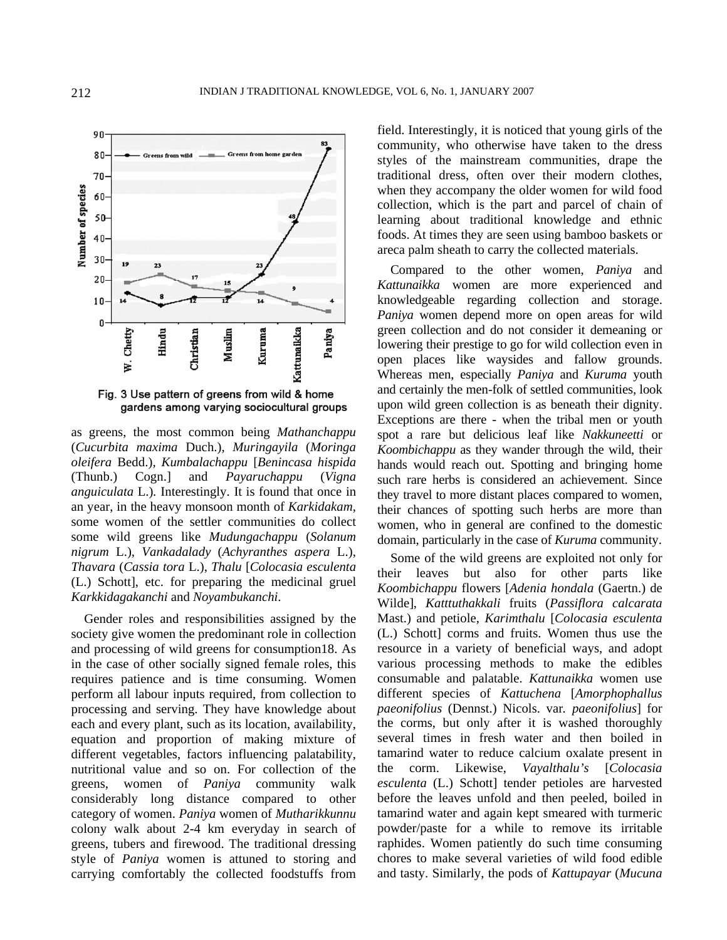

as greens, the most common being *Mathanchappu* (*Cucurbita maxima* Duch.)*, Muringayila* (*Moringa oleifera* Bedd.)*, Kumbalachappu* [*Benincasa hispida* (Thunb.) Cogn.] and *Payaruchappu* (*Vigna anguiculata* L.)*.* Interestingly. It is found that once in an year, in the heavy monsoon month of *Karkidakam*, some women of the settler communities do collect some wild greens like *Mudungachappu* (*Solanum nigrum* L.), *Vankadalady* (*Achyranthes aspera* L.), *Thavara* (*Cassia tora* L.), *Thalu* [*Colocasia esculenta* (L.) Schott], etc. for preparing the medicinal gruel *Karkkidagakanchi* and *Noyambukanchi*.

 Gender roles and responsibilities assigned by the society give women the predominant role in collection and processing of wild greens for consumption18. As in the case of other socially signed female roles, this requires patience and is time consuming. Women perform all labour inputs required, from collection to processing and serving. They have knowledge about each and every plant, such as its location, availability, equation and proportion of making mixture of different vegetables, factors influencing palatability, nutritional value and so on. For collection of the greens, women of *Paniya* community walk considerably long distance compared to other category of women. *Paniya* women of *Mutharikkunnu* colony walk about 2-4 km everyday in search of greens, tubers and firewood. The traditional dressing style of *Paniya* women is attuned to storing and carrying comfortably the collected foodstuffs from

field. Interestingly, it is noticed that young girls of the community, who otherwise have taken to the dress styles of the mainstream communities, drape the traditional dress, often over their modern clothes, when they accompany the older women for wild food collection, which is the part and parcel of chain of learning about traditional knowledge and ethnic foods. At times they are seen using bamboo baskets or areca palm sheath to carry the collected materials.

 Compared to the other women, *Paniya* and *Kattunaikka* women are more experienced and knowledgeable regarding collection and storage. *Paniya* women depend more on open areas for wild green collection and do not consider it demeaning or lowering their prestige to go for wild collection even in open places like waysides and fallow grounds. Whereas men, especially *Paniya* and *Kuruma* youth and certainly the men-folk of settled communities, look upon wild green collection is as beneath their dignity. Exceptions are there - when the tribal men or youth spot a rare but delicious leaf like *Nakkuneetti* or *Koombichappu* as they wander through the wild, their hands would reach out. Spotting and bringing home such rare herbs is considered an achievement. Since they travel to more distant places compared to women, their chances of spotting such herbs are more than women, who in general are confined to the domestic domain, particularly in the case of *Kuruma* community.

 Some of the wild greens are exploited not only for their leaves but also for other parts like *Koombichappu* flowers [*Adenia hondala* (Gaertn.) de Wilde], *Katttuthakkali* fruits (*Passiflora calcarata* Mast.) and petiole, *Karimthalu* [*Colocasia esculenta*  (L.) Schott] corms and fruits. Women thus use the resource in a variety of beneficial ways, and adopt various processing methods to make the edibles consumable and palatable. *Kattunaikka* women use different species of *Kattuchena* [*Amorphophallus paeonifolius* (Dennst.) Nicols. var*. paeonifolius*] for the corms, but only after it is washed thoroughly several times in fresh water and then boiled in tamarind water to reduce calcium oxalate present in the corm. Likewise, *Vayalthalu's* [*Colocasia esculenta* (L.) Schott] tender petioles are harvested before the leaves unfold and then peeled, boiled in tamarind water and again kept smeared with turmeric powder/paste for a while to remove its irritable raphides. Women patiently do such time consuming chores to make several varieties of wild food edible and tasty. Similarly, the pods of *Kattupayar* (*Mucuna*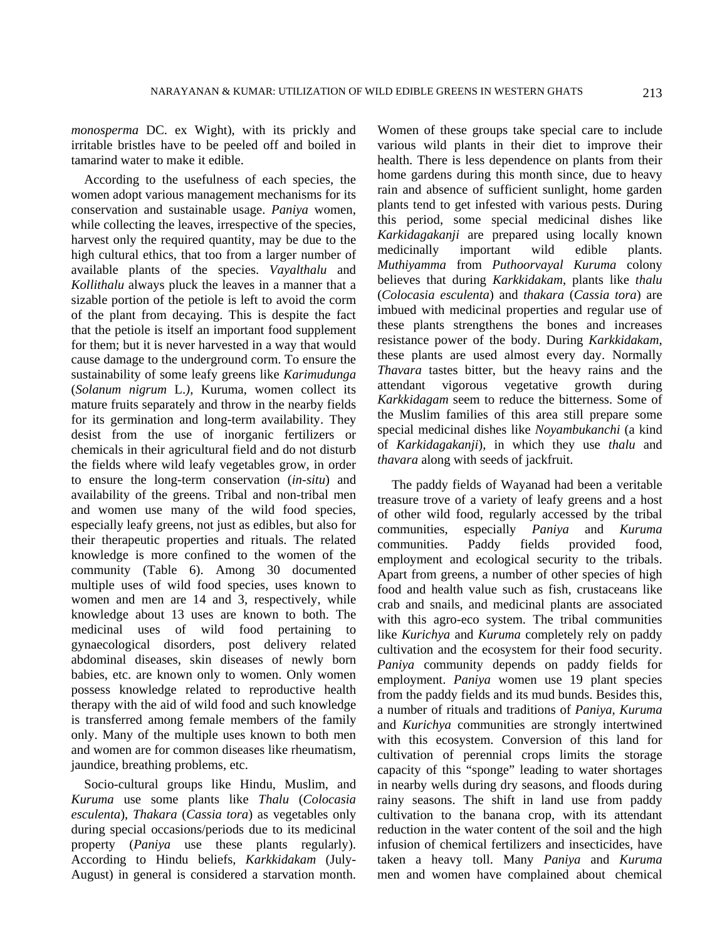*monosperma* DC. ex Wight), with its prickly and irritable bristles have to be peeled off and boiled in tamarind water to make it edible.

 According to the usefulness of each species, the women adopt various management mechanisms for its conservation and sustainable usage. *Paniya* women, while collecting the leaves, irrespective of the species, harvest only the required quantity, may be due to the high cultural ethics, that too from a larger number of available plants of the species. *Vayalthalu* and *Kollithalu* always pluck the leaves in a manner that a sizable portion of the petiole is left to avoid the corm of the plant from decaying. This is despite the fact that the petiole is itself an important food supplement for them; but it is never harvested in a way that would cause damage to the underground corm. To ensure the sustainability of some leafy greens like *Karimudunga* (*Solanum nigrum* L.*),* Kuruma, women collect its mature fruits separately and throw in the nearby fields for its germination and long-term availability. They desist from the use of inorganic fertilizers or chemicals in their agricultural field and do not disturb the fields where wild leafy vegetables grow, in order to ensure the long-term conservation (*in-situ*) and availability of the greens. Tribal and non-tribal men and women use many of the wild food species, especially leafy greens, not just as edibles, but also for their therapeutic properties and rituals. The related knowledge is more confined to the women of the community (Table 6). Among 30 documented multiple uses of wild food species, uses known to women and men are 14 and 3, respectively, while knowledge about 13 uses are known to both. The medicinal uses of wild food pertaining to gynaecological disorders, post delivery related abdominal diseases, skin diseases of newly born babies, etc. are known only to women. Only women possess knowledge related to reproductive health therapy with the aid of wild food and such knowledge is transferred among female members of the family only. Many of the multiple uses known to both men and women are for common diseases like rheumatism, jaundice, breathing problems, etc.

 Socio-cultural groups like Hindu, Muslim, and *Kuruma* use some plants like *Thalu* (*Colocasia esculenta*), *Thakara* (*Cassia tora*) as vegetables only during special occasions/periods due to its medicinal property (*Paniya* use these plants regularly). According to Hindu beliefs, *Karkkidakam* (July-August) in general is considered a starvation month.

Women of these groups take special care to include various wild plants in their diet to improve their health. There is less dependence on plants from their home gardens during this month since, due to heavy rain and absence of sufficient sunlight, home garden plants tend to get infested with various pests. During this period, some special medicinal dishes like *Karkidagakanji* are prepared using locally known medicinally important wild edible plants. *Muthiyamma* from *Puthoorvayal Kuruma* colony believes that during *Karkkidakam*, plants like *thalu* (*Colocasia esculenta*) and *thakara* (*Cassia tora*) are imbued with medicinal properties and regular use of these plants strengthens the bones and increases resistance power of the body. During *Karkkidakam*, these plants are used almost every day. Normally *Thavara* tastes bitter, but the heavy rains and the attendant vigorous vegetative growth during *Karkkidagam* seem to reduce the bitterness. Some of the Muslim families of this area still prepare some special medicinal dishes like *Noyambukanchi* (a kind of *Karkidagakanji*), in which they use *thalu* and *thavara* along with seeds of jackfruit.

The paddy fields of Wayanad had been a veritable treasure trove of a variety of leafy greens and a host of other wild food, regularly accessed by the tribal communities, especially *Paniya* and *Kuruma* communities. Paddy fields provided food, employment and ecological security to the tribals. Apart from greens, a number of other species of high food and health value such as fish, crustaceans like crab and snails, and medicinal plants are associated with this agro-eco system. The tribal communities like *Kurichya* and *Kuruma* completely rely on paddy cultivation and the ecosystem for their food security. *Paniya* community depends on paddy fields for employment. *Paniya* women use 19 plant species from the paddy fields and its mud bunds. Besides this, a number of rituals and traditions of *Paniya, Kuruma*  and *Kurichya* communities are strongly intertwined with this ecosystem. Conversion of this land for cultivation of perennial crops limits the storage capacity of this "sponge" leading to water shortages in nearby wells during dry seasons, and floods during rainy seasons. The shift in land use from paddy cultivation to the banana crop, with its attendant reduction in the water content of the soil and the high infusion of chemical fertilizers and insecticides, have taken a heavy toll. Many *Paniya* and *Kuruma* men and women have complained about chemical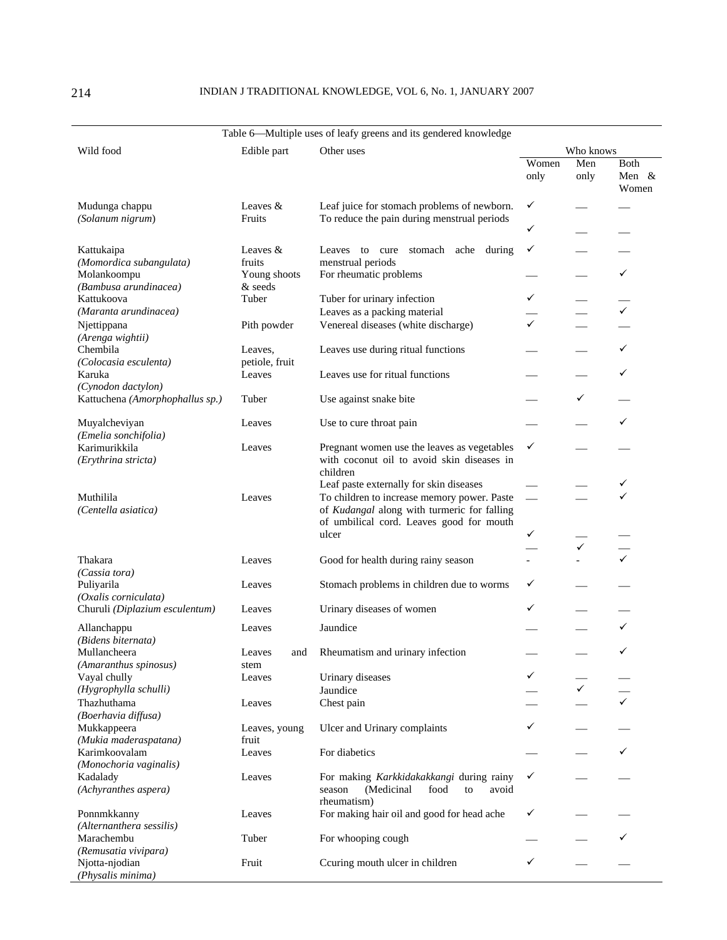## 214 INDIAN J TRADITIONAL KNOWLEDGE, VOL 6, No. 1, JANUARY 2007

## Table 6-Multiple uses of leafy greens and its gendered knowledge

| Wild food                                                      | Edible part               | Other uses                                                                                                                             |                          | Who knows    |                           |  |
|----------------------------------------------------------------|---------------------------|----------------------------------------------------------------------------------------------------------------------------------------|--------------------------|--------------|---------------------------|--|
|                                                                |                           |                                                                                                                                        | Women<br>only            | Men<br>only  | Both<br>Men $\&$<br>Women |  |
| Mudunga chappu<br>(Solanum nigrum)                             | Leaves $&$<br>Fruits      | Leaf juice for stomach problems of newborn.<br>To reduce the pain during menstrual periods                                             | ✓                        |              |                           |  |
|                                                                |                           |                                                                                                                                        | ✓                        |              |                           |  |
| Kattukaipa<br>(Momordica subangulata)                          | Leaves $&$<br>fruits      | Leaves to cure<br>stomach ache during<br>menstrual periods                                                                             | ✓                        |              |                           |  |
| Molankoompu<br>(Bambusa arundinacea)                           | Young shoots<br>& seeds   | For rheumatic problems                                                                                                                 |                          |              | ✓                         |  |
| Kattukoova                                                     | Tuber                     | Tuber for urinary infection                                                                                                            | ✓                        |              |                           |  |
| (Maranta arundinacea)                                          |                           | Leaves as a packing material                                                                                                           |                          |              | $\checkmark$              |  |
| Njettippana                                                    | Pith powder               | Venereal diseases (white discharge)                                                                                                    | ✓                        |              |                           |  |
| (Arenga wightii)<br>Chembila<br>(Colocasia esculenta)          | Leaves,<br>petiole, fruit | Leaves use during ritual functions                                                                                                     |                          |              | ✓                         |  |
| Karuka<br>(Cynodon dactylon)                                   | Leaves                    | Leaves use for ritual functions                                                                                                        |                          |              | ✓                         |  |
| Kattuchena (Amorphophallus sp.)                                | Tuber                     | Use against snake bite                                                                                                                 |                          | ✓            |                           |  |
| Muyalcheviyan<br>(Emelia sonchifolia)                          | Leaves                    | Use to cure throat pain                                                                                                                |                          |              |                           |  |
| Karimurikkila<br>(Erythrina stricta)                           | Leaves                    | Pregnant women use the leaves as vegetables<br>with coconut oil to avoid skin diseases in<br>children                                  | ✓                        |              |                           |  |
|                                                                |                           | Leaf paste externally for skin diseases                                                                                                |                          |              | ✓                         |  |
| Muthilila<br>(Centella asiatica)                               | Leaves                    | To children to increase memory power. Paste<br>of Kudangal along with turmeric for falling<br>of umbilical cord. Leaves good for mouth | $\overline{\phantom{m}}$ |              |                           |  |
|                                                                |                           | ulcer                                                                                                                                  | ✓                        | $\checkmark$ |                           |  |
| Thakara                                                        | Leaves                    | Good for health during rainy season                                                                                                    |                          |              |                           |  |
| (Cassia tora)<br>Puliyarila<br>(Oxalis corniculata)            | Leaves                    | Stomach problems in children due to worms                                                                                              | ✓                        |              |                           |  |
| Churuli (Diplazium esculentum)                                 | Leaves                    | Urinary diseases of women                                                                                                              | ✓                        |              |                           |  |
| Allanchappu                                                    | Leaves                    | Jaundice                                                                                                                               |                          |              | ✓                         |  |
| (Bidens biternata)<br>Mullancheera                             | Leaves<br>and             | Rheumatism and urinary infection                                                                                                       |                          |              | ✓                         |  |
| (Amaranthus spinosus)<br>Vayal chully                          | stem<br>Leaves            | Urinary diseases                                                                                                                       |                          |              |                           |  |
| (Hygrophylla schulli)                                          |                           | Jaundice                                                                                                                               |                          | ✓            |                           |  |
| Thazhuthama                                                    | Leaves                    | Chest pain                                                                                                                             |                          |              |                           |  |
| (Boerhavia diffusa)<br>Mukkappeera<br>(Mukia maderaspatana)    | Leaves, young<br>fruit    | Ulcer and Urinary complaints                                                                                                           | ✓                        |              |                           |  |
| Karimkoovalam<br>(Monochoria vaginalis)                        | Leaves                    | For diabetics                                                                                                                          |                          |              | ✓                         |  |
| Kadalady<br>(Achyranthes aspera)                               | Leaves                    | For making Karkkidakakkangi during rainy<br>(Medicinal<br>food<br>avoid<br>season<br>to<br>rheumatism)                                 | ✓                        |              |                           |  |
| Ponnmkkanny                                                    | Leaves                    | For making hair oil and good for head ache                                                                                             | ✓                        |              |                           |  |
| (Alternanthera sessilis)<br>Marachembu<br>(Remusatia vivipara) | Tuber                     | For whooping cough                                                                                                                     |                          |              | ✓                         |  |
| Njotta-njodian<br>(Physalis minima)                            | Fruit                     | Ccuring mouth ulcer in children                                                                                                        | ✓                        |              |                           |  |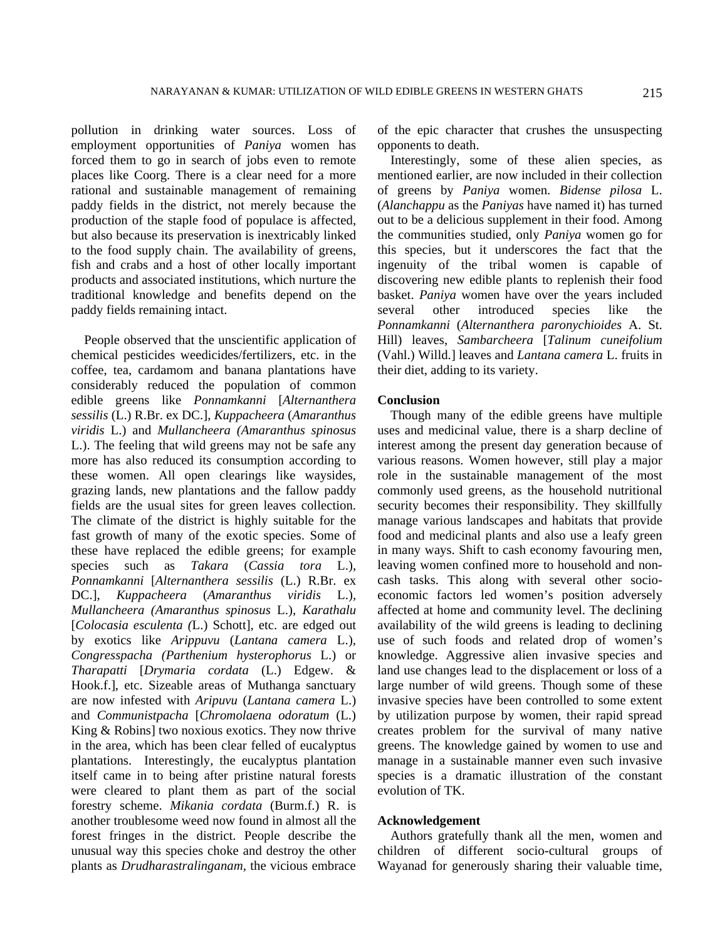pollution in drinking water sources. Loss of employment opportunities of *Paniya* women has forced them to go in search of jobs even to remote places like Coorg. There is a clear need for a more rational and sustainable management of remaining paddy fields in the district, not merely because the production of the staple food of populace is affected, but also because its preservation is inextricably linked to the food supply chain. The availability of greens, fish and crabs and a host of other locally important products and associated institutions, which nurture the traditional knowledge and benefits depend on the paddy fields remaining intact.

 People observed that the unscientific application of chemical pesticides weedicides/fertilizers, etc. in the coffee, tea, cardamom and banana plantations have considerably reduced the population of common edible greens like *Ponnamkanni* [*Alternanthera sessilis* (L.) R.Br. ex DC.], *Kuppacheera* (*Amaranthus viridis* L.) and *Mullancheera (Amaranthus spinosus* L.). The feeling that wild greens may not be safe any more has also reduced its consumption according to these women. All open clearings like waysides, grazing lands, new plantations and the fallow paddy fields are the usual sites for green leaves collection. The climate of the district is highly suitable for the fast growth of many of the exotic species. Some of these have replaced the edible greens; for example species such as *Takara* (*Cassia tora* L.), *Ponnamkanni* [*Alternanthera sessilis* (L.) R.Br. ex DC.], *Kuppacheera* (*Amaranthus viridis* L.)*, Mullancheera (Amaranthus spinosus* L.)*, Karathalu*  [*Colocasia esculenta (*L.) Schott], etc. are edged out by exotics like *Arippuvu* (*Lantana camera* L.)*, Congresspacha (Parthenium hysterophorus* L.) or *Tharapatti* [*Drymaria cordata* (L.) Edgew. & Hook.f.], etc. Sizeable areas of Muthanga sanctuary are now infested with *Aripuvu* (*Lantana camera* L.) and *Communistpacha* [*Chromolaena odoratum* (L.) King & Robins] two noxious exotics. They now thrive in the area, which has been clear felled of eucalyptus plantations. Interestingly, the eucalyptus plantation itself came in to being after pristine natural forests were cleared to plant them as part of the social forestry scheme. *Mikania cordata* (Burm.f.) R. is another troublesome weed now found in almost all the forest fringes in the district. People describe the unusual way this species choke and destroy the other plants as *Drudharastralinganam*, the vicious embrace

of the epic character that crushes the unsuspecting opponents to death.

 Interestingly, some of these alien species, as mentioned earlier, are now included in their collection of greens by *Paniya* women. *Bidense pilosa* L. (*Alanchappu* as the *Paniyas* have named it) has turned out to be a delicious supplement in their food. Among the communities studied, only *Paniya* women go for this species, but it underscores the fact that the ingenuity of the tribal women is capable of discovering new edible plants to replenish their food basket. *Paniya* women have over the years included several other introduced species like the *Ponnamkanni* (*Alternanthera paronychioides* A. St. Hill) leaves, *Sambarcheera* [*Talinum cuneifolium* (Vahl.) Willd.] leaves and *Lantana camera* L. fruits in their diet, adding to its variety.

#### **Conclusion**

 Though many of the edible greens have multiple uses and medicinal value, there is a sharp decline of interest among the present day generation because of various reasons. Women however, still play a major role in the sustainable management of the most commonly used greens, as the household nutritional security becomes their responsibility. They skillfully manage various landscapes and habitats that provide food and medicinal plants and also use a leafy green in many ways. Shift to cash economy favouring men, leaving women confined more to household and noncash tasks. This along with several other socioeconomic factors led women's position adversely affected at home and community level. The declining availability of the wild greens is leading to declining use of such foods and related drop of women's knowledge. Aggressive alien invasive species and land use changes lead to the displacement or loss of a large number of wild greens. Though some of these invasive species have been controlled to some extent by utilization purpose by women, their rapid spread creates problem for the survival of many native greens. The knowledge gained by women to use and manage in a sustainable manner even such invasive species is a dramatic illustration of the constant evolution of TK.

## **Acknowledgement**

 Authors gratefully thank all the men, women and children of different socio-cultural groups of Wayanad for generously sharing their valuable time,